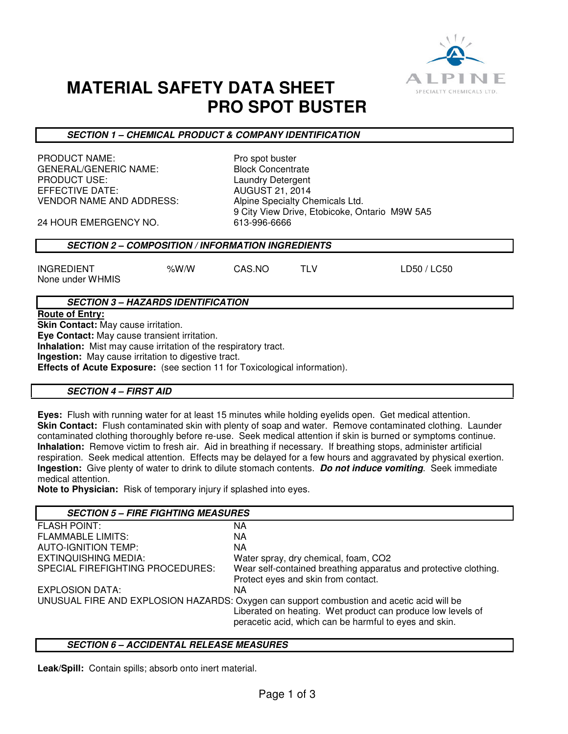

# **MATERIAL SAFETY DATA SHEET PRO SPOT BUSTER**

**SECTION 1 – CHEMICAL PRODUCT & COMPANY IDENTIFICATION** 

PRODUCT NAME: PRODUCT NAME: GENERAL/GENERIC NAME: Block Concentrate<br>PRODUCT USE: Laundry Detergent EFFECTIVE DATE: AUGUST 21, 2014 VENDOR NAME AND ADDRESS: Alpine Specialty Chemicals Ltd.

Laundry Detergent 9 City View Drive, Etobicoke, Ontario M9W 5A5

24 HOUR EMERGENCY NO. 613-996-6666

## **SECTION 2 – COMPOSITION / INFORMATION INGREDIENTS**

INGREDIENT %W/W CAS.NO TLV LD50 / LC50 None under WHMIS

# **SECTION 3 – HAZARDS IDENTIFICATION**

**Route of Entry:** 

**Skin Contact:** May cause irritation.

**Eye Contact:** May cause transient irritation.

**Inhalation:** Mist may cause irritation of the respiratory tract.

**Ingestion:** May cause irritation to digestive tract.

**Effects of Acute Exposure:** (see section 11 for Toxicological information).

#### **SECTION 4 – FIRST AID**

**Eyes:** Flush with running water for at least 15 minutes while holding eyelids open. Get medical attention. **Skin Contact:** Flush contaminated skin with plenty of soap and water. Remove contaminated clothing. Launder contaminated clothing thoroughly before re-use. Seek medical attention if skin is burned or symptoms continue. **Inhalation:** Remove victim to fresh air. Aid in breathing if necessary. If breathing stops, administer artificial respiration. Seek medical attention. Effects may be delayed for a few hours and aggravated by physical exertion. **Ingestion:** Give plenty of water to drink to dilute stomach contents. **Do not induce vomiting**. Seek immediate medical attention.

**Note to Physician:** Risk of temporary injury if splashed into eyes.

| <b>SECTION 5 - FIRE FIGHTING MEASURES</b>                                                 |                                                                                                                       |
|-------------------------------------------------------------------------------------------|-----------------------------------------------------------------------------------------------------------------------|
| <b>FLASH POINT:</b>                                                                       | ΝA                                                                                                                    |
| <b>FLAMMABLE LIMITS:</b>                                                                  | NA.                                                                                                                   |
| <b>AUTO-IGNITION TEMP:</b>                                                                | ΝA                                                                                                                    |
| EXTINQUISHING MEDIA:                                                                      | Water spray, dry chemical, foam, CO2                                                                                  |
| SPECIAL FIREFIGHTING PROCEDURES:                                                          | Wear self-contained breathing apparatus and protective clothing.<br>Protect eyes and skin from contact.               |
| <b>EXPLOSION DATA:</b>                                                                    | ΝA                                                                                                                    |
| UNUSUAL FIRE AND EXPLOSION HAZARDS: Oxygen can support combustion and acetic acid will be |                                                                                                                       |
|                                                                                           | Liberated on heating. Wet product can produce low levels of<br>peracetic acid, which can be harmful to eyes and skin. |

#### **SECTION 6 – ACCIDENTAL RELEASE MEASURES**

**Leak/Spill:** Contain spills; absorb onto inert material.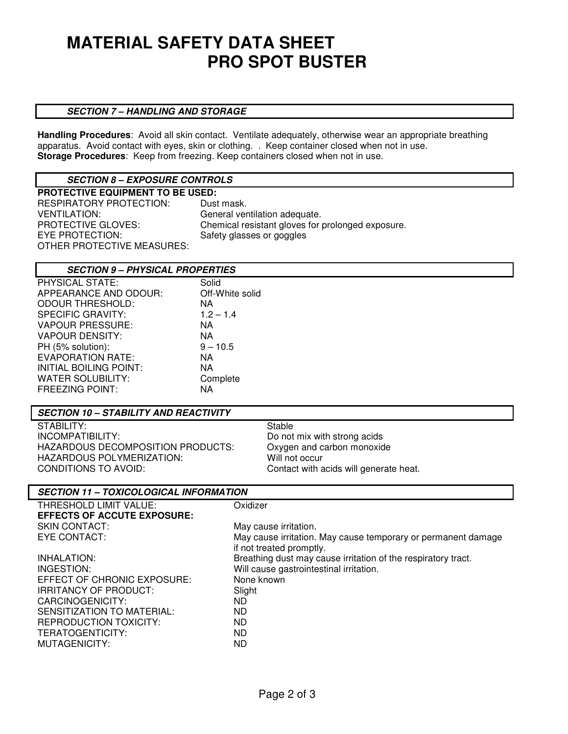# **MATERIAL SAFETY DATA SHEET PRO SPOT BUSTER**

#### **SECTION 7 – HANDLING AND STORAGE**

**Handling Procedures**: Avoid all skin contact. Ventilate adequately, otherwise wear an appropriate breathing apparatus. Avoid contact with eyes, skin or clothing. . Keep container closed when not in use. **Storage Procedures**: Keep from freezing. Keep containers closed when not in use.

# **SECTION 8 – EXPOSURE CONTROLS**

| <b>PROTECTIVE EQUIPMENT TO BE USED:</b> |                                                   |
|-----------------------------------------|---------------------------------------------------|
| RESPIRATORY PROTECTION:                 | Dust mask.                                        |
| <b>VENTILATION:</b>                     | General ventilation adequate.                     |
| <b>PROTECTIVE GLOVES:</b>               | Chemical resistant gloves for prolonged exposure. |
| EYE PROTECTION:                         | Safety glasses or goggles                         |
| OTHER PROTECTIVE MEASURES:              |                                                   |

## **SECTION 9 – PHYSICAL PROPERTIES**

| <b>PHYSICAL STATE:</b>   | Solid           |
|--------------------------|-----------------|
| APPEARANCE AND ODOUR:    | Off-White solid |
| <b>ODOUR THRESHOLD:</b>  | NA              |
| <b>SPECIFIC GRAVITY:</b> | $1.2 - 1.4$     |
| <b>VAPOUR PRESSURE:</b>  | NА              |
| <b>VAPOUR DENSITY:</b>   | NА              |
| PH (5% solution):        | $9 - 10.5$      |
| <b>EVAPORATION RATE:</b> | NА              |
| INITIAL BOILING POINT:   | NА              |
| <b>WATER SOLUBILITY:</b> | Complete        |
| <b>FREEZING POINT:</b>   | ΝA              |

## **SECTION 10 – STABILITY AND REACTIVITY**

STABILITY: Stable INCOMPATIBILITY: Do not mix with strong acids HAZARDOUS DECOMPOSITION PRODUCTS: Oxygen and carbon monoxide HAZARDOUS POLYMERIZATION: Will not occur HAZARDOUS POLYMERIZATION:<br>CONDITIONS TO AVOID:

Contact with acids will generate heat.

## **SECTION 11 – TOXICOLOGICAL INFORMATION**

| Oxidizer                                                                                  |
|-------------------------------------------------------------------------------------------|
|                                                                                           |
| May cause irritation.                                                                     |
| May cause irritation. May cause temporary or permanent damage<br>if not treated promptly. |
| Breathing dust may cause irritation of the respiratory tract.                             |
| Will cause gastrointestinal irritation.                                                   |
| None known                                                                                |
| Slight                                                                                    |
| ND.                                                                                       |
| ND.                                                                                       |
| ND.                                                                                       |
| ND.                                                                                       |
| ND                                                                                        |
|                                                                                           |